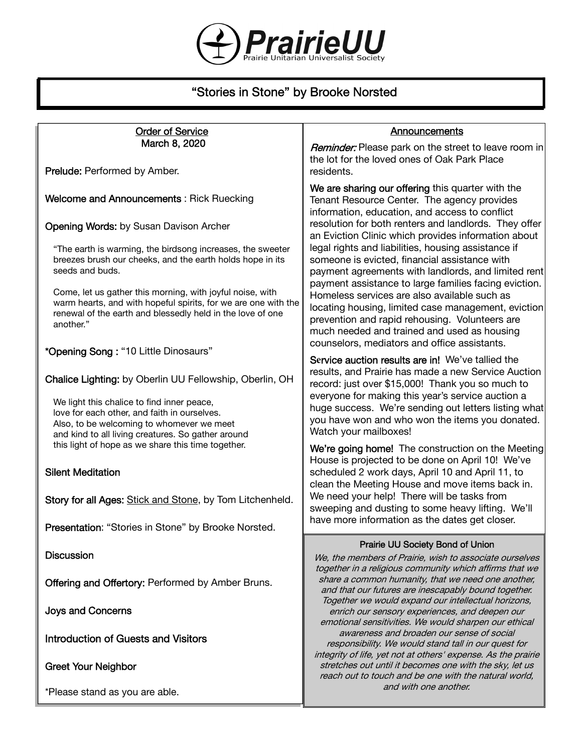

# "Stories in Stone" by Brooke Norsted

#### Order of Service March 8, 2020 Prelude: Performed by Amber. Welcome and Announcements : Rick Ruecking Opening Words: by Susan Davison Archer "The earth is warming, the birdsong increases, the sweeter breezes brush our cheeks, and the earth holds hope in its seeds and buds. Come, let us gather this morning, with joyful noise, with warm hearts, and with hopeful spirits, for we are one with the renewal of the earth and blessedly held in the love of one another." \*Opening Song : "10 Little Dinosaurs" Chalice Lighting: by Oberlin UU Fellowship, Oberlin, OH We light this chalice to find inner peace, love for each other, and faith in ourselves. Also, to be welcoming to whomever we meet and kind to all living creatures. So gather around this light of hope as we share this time together. Silent Meditation Story for all Ages: Stick and Stone, by Tom Litchenheld. Presentation: "Stories in Stone" by Brooke Norsted. **Discussion** Offering and Offertory: Performed by Amber Bruns. Joys and Concerns Introduction of Guests and Visitors Prairie UU Society Bond of Union We, the members of Prairie, wish to associate ourselves together in a religious community which affirms that we share a common humanity, that we need one another, and that our futures are inescapably bound together. Together we would expand our intellectual horizons, enrich our sensory experiences, and deepen our emotional sensitivities. We would sharpen our ethical awareness and broaden our sense of social responsibility. We would stand tall in our quest for integrity of life, yet not at others' expense. As the prairie stretches out until it becomes one with the sky, let us **Announcements Reminder:** Please park on the street to leave room in the lot for the loved ones of Oak Park Place residents. We are sharing our offering this quarter with the Tenant Resource Center. The agency provides information, education, and access to conflict resolution for both renters and landlords. They offer an Eviction Clinic which provides information about legal rights and liabilities, housing assistance if someone is evicted, financial assistance with payment agreements with landlords, and limited rent payment assistance to large families facing eviction. Homeless services are also available such as locating housing, limited case management, eviction prevention and rapid rehousing. Volunteers are much needed and trained and used as housing counselors, mediators and office assistants. Service auction results are in! We've tallied the results, and Prairie has made a new Service Auction record: just over \$15,000! Thank you so much to everyone for making this year's service auction a huge success. We're sending out letters listing what you have won and who won the items you donated. Watch your mailboxes! We're going home! The construction on the Meeting House is projected to be done on April 10! We've scheduled 2 work days, April 10 and April 11, to clean the Meeting House and move items back in. We need your help! There will be tasks from sweeping and dusting to some heavy lifting. We'll have more information as the dates get closer.

reach out to touch and be one with the natural world, and with one another.

Greet Your Neighbor

\*Please stand as you are able.